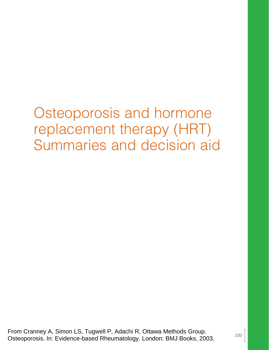Osteoporosis and hormone replacement therapy (HRT) Summaries and decision aid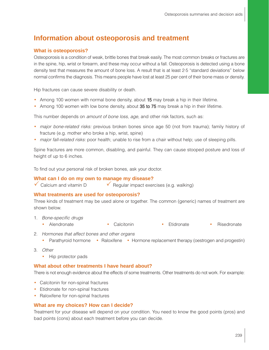## **Information about osteoporosis and treatment**

#### **What is osteoporosis?**

Osteoporosis is a condition of weak, brittle bones that break easily. The most common breaks or fractures are in the spine, hip, wrist or forearm, and these may occur without a fall. Osteoporosis is detected using a bone density test that measures the amount of bone loss. A result that is at least 2·5 "standard deviations" below normal confirms the diagnosis. This means people have lost at least 25 per cent of their bone mass or density.

Hip fractures can cause severe disability or death.

- Among 100 women with normal bone density, about 15 may break a hip in their lifetime.
- Among 100 women with low bone density, about 35 to 75 may break a hip in their lifetime.

This number depends on *amount of bone loss, age*, and other risk factors, such as:

- major bone-related risks: previous broken bones since age 50 (not from trauma); family history of fracture (e.g. mother who broke a hip, wrist, spine)
- major fall-related risks: poor health; unable to rise from a chair without help; use of sleeping pills.

Spine fractures are more common, disabling, and painful. They can cause stooped posture and loss of height of up to 6 inches.

To find out your personal risk of broken bones, ask your doctor.

#### **What can I do on my own to manage my disease?**

 $\checkmark$  Calcium and vitamin D  $\checkmark$  Regular impact exercises (e.g. walking)

#### **What treatments are used for osteoporosis?**

Three kinds of treatment may be used alone or together. The common (generic) names of treatment are shown below.

- 1. Bone-specific drugs
	- Alendronate Calcitonin Etidronate Risedronate
- 2. Hormones that affect bones and other organs
	- Parathyroid hormone Raloxifene Hormone replacement therapy (oestrogen and progestin)
- 3. Other
	- Hip protector pads

#### **What about other treatments I have heard about?**

There is not enough evidence about the effects of some treatments. Other treatments do not work. For example:

- Calcitonin for non-spinal fractures
- Etidronate for non-spinal fractures
- Raloxifene for non-spinal fractures

#### **What are my choices? How can I decide?**

Treatment for your disease will depend on your condition. You need to know the good points (pros) and bad points (cons) about each treatment before you can decide.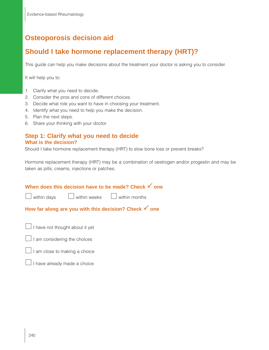# **Osteoporosis decision aid**

# **Should I take hormone replacement therapy (HRT)?**

This guide can help you make decisions about the treatment your doctor is asking you to consider.

It will help you to:

- 1. Clarify what you need to decide.
- 2. Consider the pros and cons of different choices.
- 3. Decide what role you want to have in choosing your treatment.
- 4. Identify what you need to help you make the decision.
- 5. Plan the next steps.
- 6. Share your thinking with your doctor.

## **Step 1: Clarify what you need to decide What is the decision?**

Should I take hormone replacement therapy (HRT) to slow bone loss or prevent breaks?

Hormone replacement therapy (HRT) may be a combination of oestrogen and/or progestin and may be taken as pills, creams, injections or patches.



 $\Box$  I have already made a choice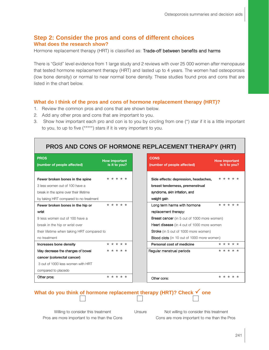## **Step 2: Consider the pros and cons of different choices What does the research show?**

Hormone replacement therapy (HRT) is classified as: Trade-off between benefits and harms

There is "Gold" level evidence from 1 large study and 2 reviews with over 25 000 women after menopause that tested hormone replacement therapy (HRT) and lasted up to 4 years. The women had osteoporosis (low bone density) or normal to near normal bone density. These studies found pros and cons that are listed in the chart below.

### **What do I think of the pros and cons of hormone replacement therapy (HRT)?**

- 1. Review the common pros and cons that are shown below.
- 2. Add any other pros and cons that are important to you.
- 3. Show how important each pro and con is to you by circling from one (\*) star if it is a little important to you, to up to five (\*\*\*\*\*) stars if it is very important to you.

## **PROS AND CONS OF HORMONE REPLACEMENT THERAPY (HRT)**

| <b>PROS</b><br>(number of people affected) | <b>How important</b><br>is it to you? | <b>CONS</b><br>(number of people affected)        |
|--------------------------------------------|---------------------------------------|---------------------------------------------------|
| Fewer broken bones in the spine            | * * * * *                             | Side effects: depression, headaches,              |
| 3 less women out of 100 have a             |                                       | breast tenderness, premenstrual                   |
| break in the spine over their lifetime     |                                       | syndrome, skin irritation, and                    |
| by taking HRT compared to no treatment     |                                       | weight gain                                       |
| Fewer broken bones in the hip or           | * * * * *                             | Long term harms with hormone                      |
|                                            |                                       | replacement therapy:                              |
| 9 less women out of 100 have a             |                                       | Breast cancer (in 5 out of 1000 more women)       |
| break in the hip or wrist over             |                                       | <b>Heart disease</b> (in 4 out of 1000 more women |
| their lifetime when taking HRT compared to |                                       | Stroke (in 5 out of 1000 more women)              |
| no treatment                               |                                       | <b>Blood clots</b> (in 10 out of 1000 more women) |
| Increases bone density                     | * * * * *                             | Personal cost of medicine                         |
| May decrease the changes of bowel          | * * * * *                             | Regular menstrual periods                         |
| cancer (colorectal cancer)                 |                                       |                                                   |
| 3 out of 1000 less women with HRT          |                                       |                                                   |
| compared to placedo                        |                                       |                                                   |
| Other pros:                                | * * * * *                             | Other cons:                                       |

| <b>PROS</b><br>(number of people affected) | <b>How important</b><br>is it to you? |
|--------------------------------------------|---------------------------------------|
| Fewer broken bones in the spine            | * * * * *                             |
| 3 less women out of 100 have a             |                                       |
| break in the spine over their lifetime     |                                       |
| by taking HRT compared to no treatment     |                                       |
| Fewer broken bones in the hip or           | $* * * * * *$                         |
| wrist                                      |                                       |
| 9 less women out of 100 have a             |                                       |
| break in the hip or wrist over             |                                       |
| their lifetime when taking HRT compared to |                                       |
| no treatment                               |                                       |
| Increases bone density                     | * * * * *                             |
| May decrease the changes of bowel          | * * * * *                             |
| cancer (colorectal cancer)                 |                                       |
| 3 out of 1000 less women with HRT          |                                       |
| compared to placedo                        |                                       |
| Other pros:                                | * * * * *                             |

# **What do you think of hormone replacement therapy (HRT)? Check √ one**

Willing to consider this treatment Unsure Not willing to consider this treatment Pros are more important to me than the Cons Cons are more important to me than the Pros